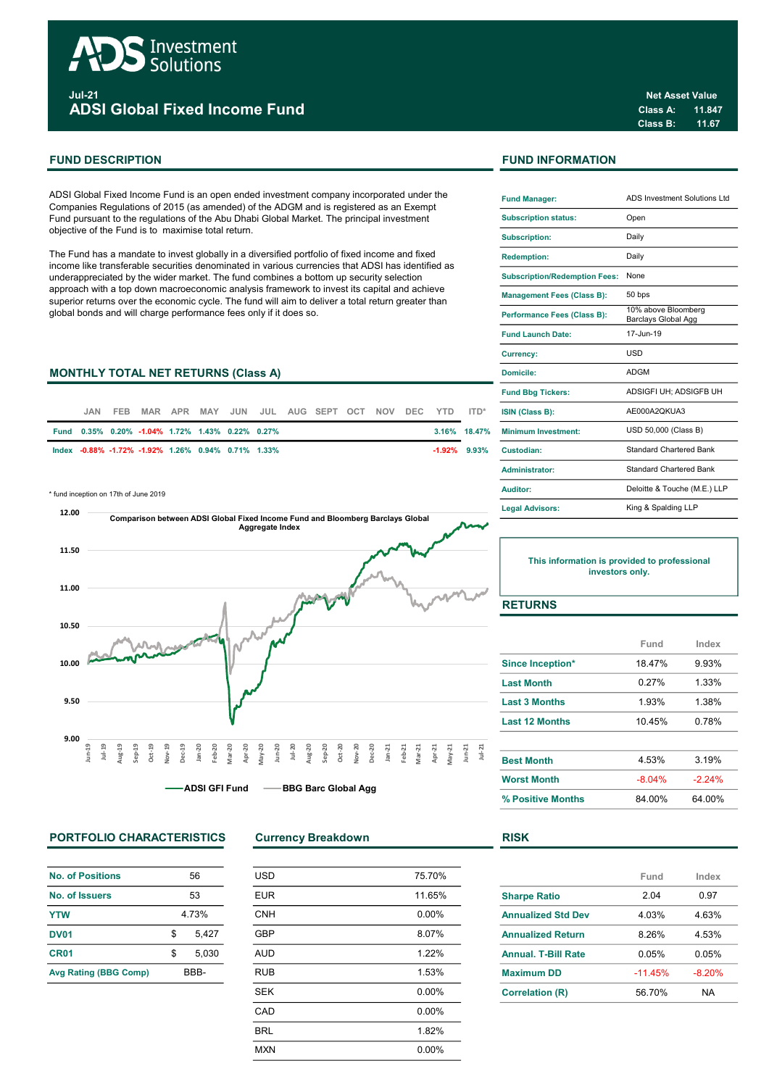

Jul-21 ADSI Global Fixed Income Fund

ADSI Global Fixed Income Fund is an open ended investment company incorporated under the Companies Regulations of 2015 (as amended) of the ADGM and is registered as an Exempt Fund pursuant to the regulations of the Abu Dhabi Global Market. The principal investment objective of the Fund is to maximise total return.

The Fund has a mandate to invest globally in a diversified portfolio of fixed income and fixed income like transferable securities denominated in various currencies that ADSI has identified as underappreciated by the wider market. The fund combines a bottom up security selection approach with a top down macroeconomic analysis framework to invest its capital and achieve superior returns over the economic cycle. The fund will aim to deliver a total return greater than global bonds and will charge performance fees only if it does so.

#### **MONTHLY TOTAL NET RETURNS (Class A)**

| JAN. | FEB. |                                                    |  |  | MAR APR MAY JUN JUL AUG SEPT OCT NOV DEC YTD ITD* |  |  |                 | <b>ISIN (Class B):</b>     |
|------|------|----------------------------------------------------|--|--|---------------------------------------------------|--|--|-----------------|----------------------------|
|      |      | Fund 0.35% 0.20% -1.04% 1.72% 1.43% 0.22% 0.27%    |  |  |                                                   |  |  | 3.16% 18.47%    | <b>Minimum Investment:</b> |
|      |      | lndex -0.88% -1.72% -1.92% 1.26% 0.94% 0.71% 1.33% |  |  |                                                   |  |  | $-1.92\%$ 9.93% | Custodian:                 |

\* fund inception on 17th of June 2019



### PORTFOLIO CHARACTERISTICS Currency Breakdown RISK

| <b>No. of Positions</b>      | 56    |       |  |
|------------------------------|-------|-------|--|
| No. of Issuers               | 53    |       |  |
| <b>YTW</b>                   | 4 73% |       |  |
| DV <sub>01</sub>             | \$    | 5.427 |  |
| CR <sub>01</sub>             | \$    | 5.030 |  |
| <b>Avg Rating (BBG Comp)</b> | RRR-  |       |  |

| <b>USD</b> | 75.70%   |
|------------|----------|
| <b>EUR</b> | 11.65%   |
| <b>CNH</b> | 0.00%    |
| <b>GBP</b> | 8.07%    |
| <b>AUD</b> | 1.22%    |
| <b>RUB</b> | 1.53%    |
| <b>SEK</b> | $0.00\%$ |
| CAD        | 0.00%    |
| <b>BRL</b> | 1.82%    |
| <b>MXN</b> | 0.00%    |
|            |          |

Class A: 11.847 Class B: 11.67 Net Asset Value

### FUND DESCRIPTION FUND INFORMATION

| <b>Fund Manager:</b>                 | <b>ADS Investment Solutions Ltd</b>        |
|--------------------------------------|--------------------------------------------|
| <b>Subscription status:</b>          | Open                                       |
| <b>Subscription:</b>                 | Daily                                      |
| <b>Redemption:</b>                   | Daily                                      |
| <b>Subscription/Redemption Fees:</b> | None                                       |
| <b>Management Fees (Class B):</b>    | 50 bps                                     |
| Performance Fees (Class B):          | 10% above Bloomberg<br>Barclays Global Agg |
| <b>Fund Launch Date:</b>             | 17-Jun-19                                  |
| Currency:                            | <b>USD</b>                                 |
| Domicile:                            | <b>ADGM</b>                                |
| <b>Fund Bbg Tickers:</b>             | ADSIGFI UH; ADSIGFB UH                     |
| ISIN (Class B):                      | AE000A2OKUA3                               |
| <b>Minimum Investment:</b>           | USD 50,000 (Class B)                       |
| Custodian:                           | <b>Standard Chartered Bank</b>             |
| <b>Administrator:</b>                | <b>Standard Chartered Bank</b>             |
| Auditor:                             | Deloitte & Touche (M.E.) LLP               |
| <b>Legal Advisors:</b>               | King & Spalding LLP                        |

This information is provided to professional investors only.

## RETURNS

|                         | Fund     | Index    |
|-------------------------|----------|----------|
| <b>Since Inception*</b> | 1847%    | 9.93%    |
| <b>Last Month</b>       | 0.27%    | 1.33%    |
| <b>Last 3 Months</b>    | 1.93%    | 1.38%    |
| <b>Last 12 Months</b>   | 10.45%   | 0.78%    |
|                         |          |          |
| <b>Best Month</b>       | 4.53%    | 3.19%    |
| <b>Worst Month</b>      | $-8.04%$ | $-2.24%$ |
| % Positive Months       | 84 00%   | 64.00%   |

|                            | Fund     | Index     |
|----------------------------|----------|-----------|
| <b>Sharpe Ratio</b>        | 2.04     | 0.97      |
| <b>Annualized Std Dev</b>  | 4.03%    | 4.63%     |
| <b>Annualized Return</b>   | 8.26%    | 4.53%     |
| <b>Annual, T-Bill Rate</b> | 0 05%    | 0 05%     |
| <b>Maximum DD</b>          | $-1145%$ | $-8.20%$  |
| <b>Correlation (R)</b>     | 56.70%   | <b>NA</b> |